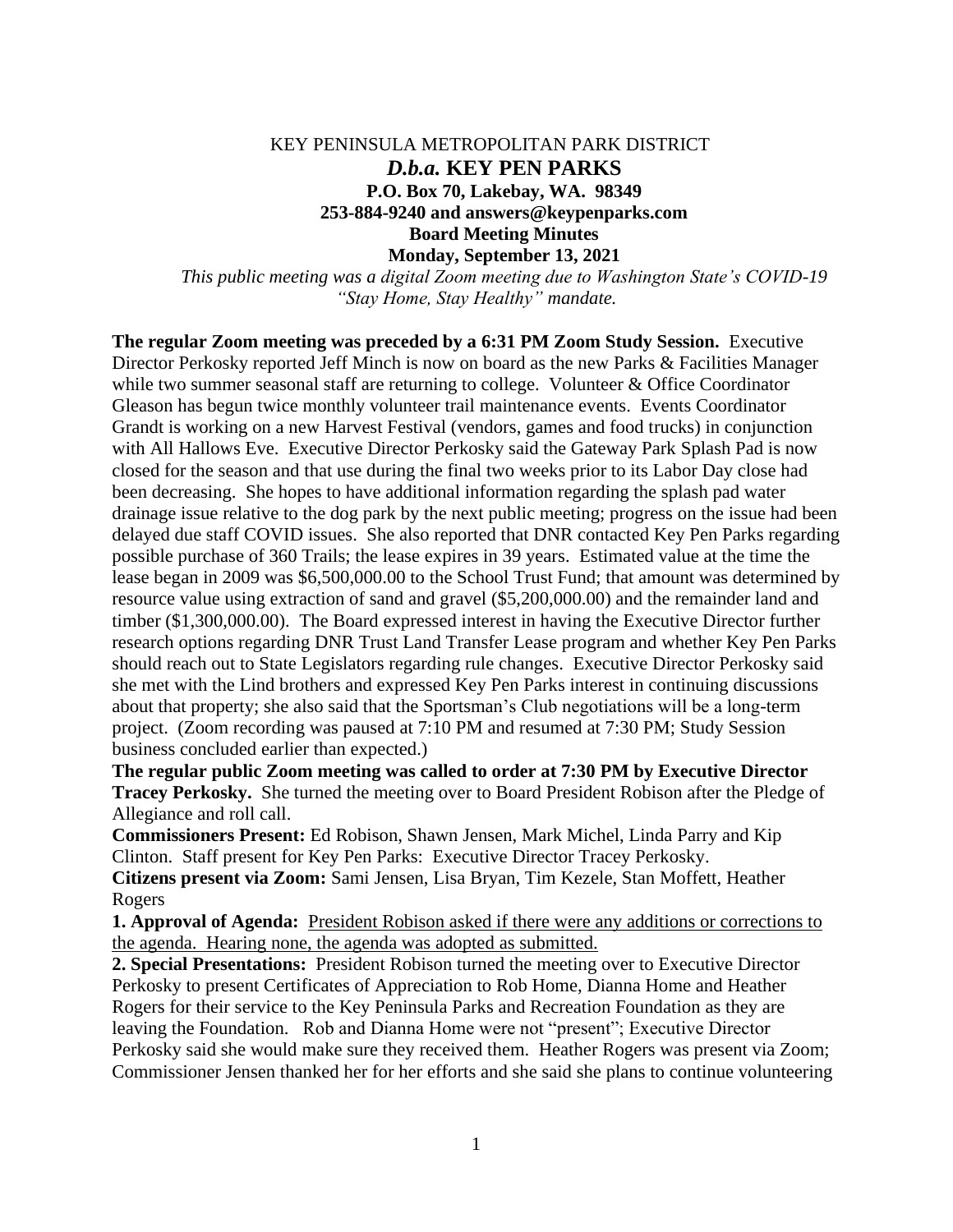## KEY PENINSULA METROPOLITAN PARK DISTRICT *D.b.a.* **KEY PEN PARKS P.O. Box 70, Lakebay, WA. 98349 253-884-9240 and answers@keypenparks.com Board Meeting Minutes Monday, September 13, 2021**

*This public meeting was a digital Zoom meeting due to Washington State's COVID-19 "Stay Home, Stay Healthy" mandate.*

**The regular Zoom meeting was preceded by a 6:31 PM Zoom Study Session.** Executive Director Perkosky reported Jeff Minch is now on board as the new Parks & Facilities Manager while two summer seasonal staff are returning to college. Volunteer & Office Coordinator Gleason has begun twice monthly volunteer trail maintenance events. Events Coordinator Grandt is working on a new Harvest Festival (vendors, games and food trucks) in conjunction with All Hallows Eve. Executive Director Perkosky said the Gateway Park Splash Pad is now closed for the season and that use during the final two weeks prior to its Labor Day close had been decreasing. She hopes to have additional information regarding the splash pad water drainage issue relative to the dog park by the next public meeting; progress on the issue had been delayed due staff COVID issues. She also reported that DNR contacted Key Pen Parks regarding possible purchase of 360 Trails; the lease expires in 39 years. Estimated value at the time the lease began in 2009 was \$6,500,000.00 to the School Trust Fund; that amount was determined by resource value using extraction of sand and gravel (\$5,200,000.00) and the remainder land and timber (\$1,300,000.00). The Board expressed interest in having the Executive Director further research options regarding DNR Trust Land Transfer Lease program and whether Key Pen Parks should reach out to State Legislators regarding rule changes. Executive Director Perkosky said she met with the Lind brothers and expressed Key Pen Parks interest in continuing discussions about that property; she also said that the Sportsman's Club negotiations will be a long-term project. (Zoom recording was paused at 7:10 PM and resumed at 7:30 PM; Study Session business concluded earlier than expected.)

**The regular public Zoom meeting was called to order at 7:30 PM by Executive Director Tracey Perkosky.** She turned the meeting over to Board President Robison after the Pledge of Allegiance and roll call.

**Commissioners Present:** Ed Robison, Shawn Jensen, Mark Michel, Linda Parry and Kip Clinton. Staff present for Key Pen Parks: Executive Director Tracey Perkosky. **Citizens present via Zoom:** Sami Jensen, Lisa Bryan, Tim Kezele, Stan Moffett, Heather Rogers

**1. Approval of Agenda:** President Robison asked if there were any additions or corrections to the agenda. Hearing none, the agenda was adopted as submitted.

**2. Special Presentations:** President Robison turned the meeting over to Executive Director Perkosky to present Certificates of Appreciation to Rob Home, Dianna Home and Heather Rogers for their service to the Key Peninsula Parks and Recreation Foundation as they are leaving the Foundation. Rob and Dianna Home were not "present"; Executive Director Perkosky said she would make sure they received them. Heather Rogers was present via Zoom; Commissioner Jensen thanked her for her efforts and she said she plans to continue volunteering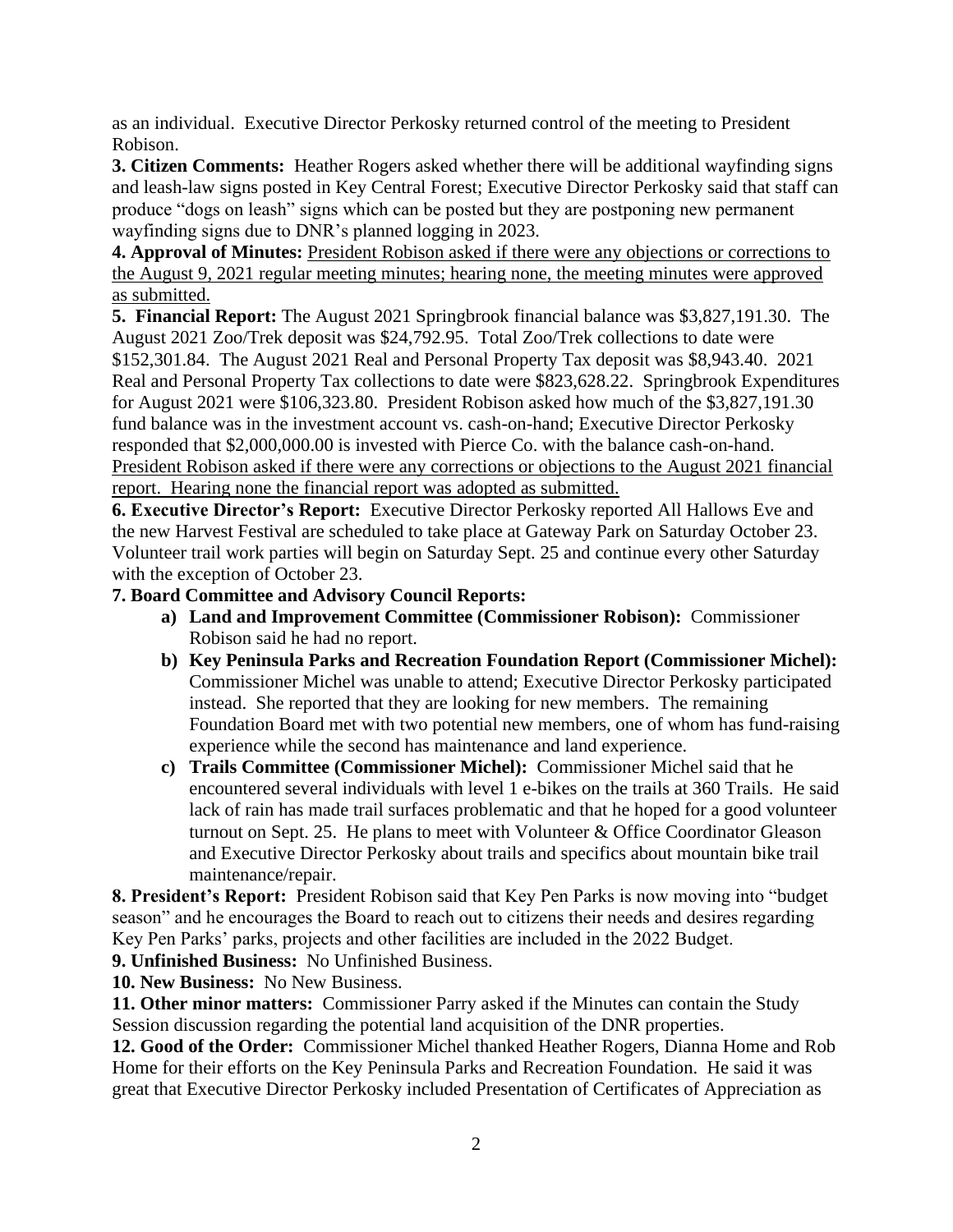as an individual. Executive Director Perkosky returned control of the meeting to President Robison.

**3. Citizen Comments:** Heather Rogers asked whether there will be additional wayfinding signs and leash-law signs posted in Key Central Forest; Executive Director Perkosky said that staff can produce "dogs on leash" signs which can be posted but they are postponing new permanent wayfinding signs due to DNR's planned logging in 2023.

**4. Approval of Minutes:** President Robison asked if there were any objections or corrections to the August 9, 2021 regular meeting minutes; hearing none, the meeting minutes were approved as submitted.

**5. Financial Report:** The August 2021 Springbrook financial balance was \$3,827,191.30. The August 2021 Zoo/Trek deposit was \$24,792.95. Total Zoo/Trek collections to date were \$152,301.84. The August 2021 Real and Personal Property Tax deposit was \$8,943.40. 2021 Real and Personal Property Tax collections to date were \$823,628.22. Springbrook Expenditures for August 2021 were \$106,323.80. President Robison asked how much of the \$3,827,191.30 fund balance was in the investment account vs. cash-on-hand; Executive Director Perkosky responded that \$2,000,000.00 is invested with Pierce Co. with the balance cash-on-hand. President Robison asked if there were any corrections or objections to the August 2021 financial report. Hearing none the financial report was adopted as submitted.

**6. Executive Director's Report:** Executive Director Perkosky reported All Hallows Eve and the new Harvest Festival are scheduled to take place at Gateway Park on Saturday October 23. Volunteer trail work parties will begin on Saturday Sept. 25 and continue every other Saturday with the exception of October 23.

## **7. Board Committee and Advisory Council Reports:**

- **a) Land and Improvement Committee (Commissioner Robison):** Commissioner Robison said he had no report.
- **b) Key Peninsula Parks and Recreation Foundation Report (Commissioner Michel):** Commissioner Michel was unable to attend; Executive Director Perkosky participated instead. She reported that they are looking for new members. The remaining Foundation Board met with two potential new members, one of whom has fund-raising experience while the second has maintenance and land experience.
- **c) Trails Committee (Commissioner Michel):** Commissioner Michel said that he encountered several individuals with level 1 e-bikes on the trails at 360 Trails. He said lack of rain has made trail surfaces problematic and that he hoped for a good volunteer turnout on Sept. 25. He plans to meet with Volunteer & Office Coordinator Gleason and Executive Director Perkosky about trails and specifics about mountain bike trail maintenance/repair.

**8. President's Report:** President Robison said that Key Pen Parks is now moving into "budget season" and he encourages the Board to reach out to citizens their needs and desires regarding Key Pen Parks' parks, projects and other facilities are included in the 2022 Budget.

**9. Unfinished Business:** No Unfinished Business.

**10. New Business:** No New Business.

**11. Other minor matters:** Commissioner Parry asked if the Minutes can contain the Study Session discussion regarding the potential land acquisition of the DNR properties.

**12. Good of the Order:** Commissioner Michel thanked Heather Rogers, Dianna Home and Rob Home for their efforts on the Key Peninsula Parks and Recreation Foundation. He said it was great that Executive Director Perkosky included Presentation of Certificates of Appreciation as